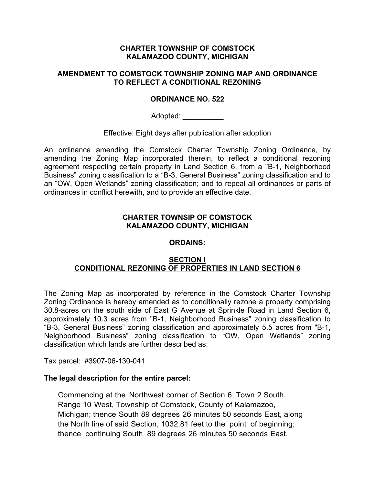### **CHARTER TOWNSHIP OF COMSTOCK KALAMAZOO COUNTY, MICHIGAN**

### **AMENDMENT TO COMSTOCK TOWNSHIP ZONING MAP AND ORDINANCE TO REFLECT A CONDITIONAL REZONING**

## **ORDINANCE NO. 522**

Adopted:

Effective: Eight days after publication after adoption

An ordinance amending the Comstock Charter Township Zoning Ordinance, by amending the Zoning Map incorporated therein, to reflect a conditional rezoning agreement respecting certain property in Land Section 6, from a "B-1, Neighborhood Business" zoning classification to a "B-3, General Business" zoning classification and to an "OW, Open Wetlands" zoning classification; and to repeal all ordinances or parts of ordinances in conflict herewith, and to provide an effective date.

### **CHARTER TOWNSIP OF COMSTOCK KALAMAZOO COUNTY, MICHIGAN**

#### **ORDAINS:**

## **SECTION I CONDITIONAL REZONING OF PROPERTIES IN LAND SECTION 6**

The Zoning Map as incorporated by reference in the Comstock Charter Township Zoning Ordinance is hereby amended as to conditionally rezone a property comprising 30.8-acres on the south side of East G Avenue at Sprinkle Road in Land Section 6, approximately 10.3 acres from "B-1, Neighborhood Business" zoning classification to "B-3, General Business" zoning classification and approximately 5.5 acres from "B-1, Neighborhood Business" zoning classification to "OW, Open Wetlands" zoning classification which lands are further described as:

Tax parcel: #3907-06-130-041

#### **The legal description for the entire parcel:**

Commencing at the Northwest corner of Section 6, Town 2 South, Range 10 West, Township of Comstock, County of Kalamazoo, Michigan; thence South 89 degrees 26 minutes 50 seconds East, along the North line of said Section, 1032.81 feet to the point of beginning; thence continuing South 89 degrees 26 minutes 50 seconds East,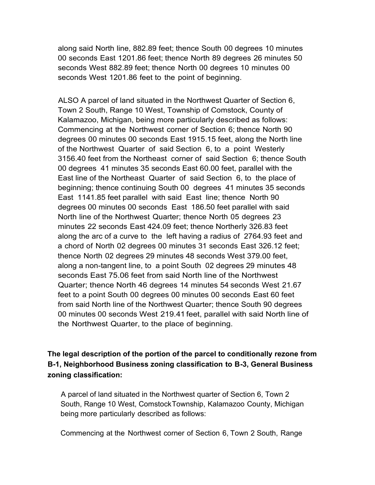along said North line, 882.89 feet; thence South 00 degrees 10 minutes 00 seconds East 1201.86 feet; thence North 89 degrees 26 minutes 50 seconds West 882.89 feet; thence North 00 degrees 10 minutes 00 seconds West 1201.86 feet to the point of beginning.

ALSO A parcel of land situated in the Northwest Quarter of Section 6, Town 2 South, Range 10 West, Township of Comstock, County of Kalamazoo, Michigan, being more particularly described as follows: Commencing at the Northwest corner of Section 6; thence North 90 degrees 00 minutes 00 seconds East 1915.15 feet, along the North line of the Northwest Quarter of said Section 6, to a point Westerly 3156.40 feet from the Northeast corner of said Section 6; thence South 00 degrees 41 minutes 35 seconds East 60.00 feet, parallel with the East line of the Northeast Quarter of said Section 6, to the place of beginning; thence continuing South 00 degrees 41 minutes 35 seconds East 1141.85 feet parallel with said East line; thence North 90 degrees 00 minutes 00 seconds East 186.50 feet parallel with said North line of the Northwest Quarter; thence North 05 degrees 23 minutes 22 seconds East 424.09 feet; thence Northerly 326.83 feet along the arc of a curve to the left having a radius of 2764.93 feet and a chord of North 02 degrees 00 minutes 31 seconds East 326.12 feet; thence North 02 degrees 29 minutes 48 seconds West 379.00 feet, along a non-tangent line, to a point South 02 degrees 29 minutes 48 seconds East 75.06 feet from said North line of the Northwest Quarter; thence North 46 degrees 14 minutes 54 seconds West 21.67 feet to a point South 00 degrees 00 minutes 00 seconds East 60 feet from said North line of the Northwest Quarter; thence South 90 degrees 00 minutes 00 seconds West 219.41 feet, parallel with said North line of the Northwest Quarter, to the place of beginning.

**The legal description of the portion of the parcel to conditionally rezone from B-1, Neighborhood Business zoning classification to B-3, General Business zoning classification:**

A parcel of land situated in the Northwest quarter of Section 6, Town 2 South, Range 10 West, ComstockTownship, Kalamazoo County, Michigan being more particularly described as follows:

Commencing at the Northwest corner of Section 6, Town 2 South, Range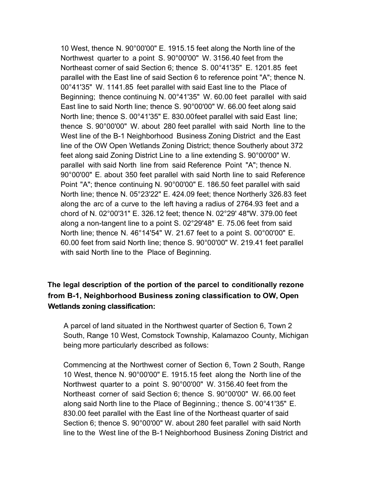10 West, thence N. 90°00'00" E. 1915.15 feet along the North line of the Northwest quarter to a point S. 90°00'00" W. 3156.40 feet from the Northeast corner of said Section 6; thence S. 00°41'35" E. 1201.85 feet parallel with the East line of said Section 6 to reference point "A"; thence N. 00°41'35" W. 1141.85 feet parallel with said East line to the Place of Beginning; thence continuing N. 00°41'35" W. 60.00 feet parallel with said East line to said North line; thence S. 90°00'00" W. 66.00 feet along said North line; thence S. 00°41'35" E. 830.00feet parallel with said East line; thence S. 90°00'00" W. about 280 feet parallel with said North line to the West line of the B-1 Neighborhood Business Zoning District and the East line of the OW Open Wetlands Zoning District; thence Southerly about 372 feet along said Zoning District Line to a line extending S. 90°00'00" W. parallel with said North line from said Reference Point "A"; thence N. 90°00'00" E. about 350 feet parallel with said North line to said Reference Point "A"; thence continuing N. 90°00'00" E. 186.50 feet parallel with said North line; thence N. 05°23'22" E. 424.09 feet; thence Northerly 326.83 feet along the arc of a curve to the left having a radius of 2764.93 feet and a chord of N. 02°00'31" E. 326.12 feet; thence N. 02°29' 48"W. 379.00 feet along a non-tangent line to a point S. 02°29'48" E. 75.06 feet from said North line; thence N. 46°14'54" W. 21.67 feet to a point S. 00°00'00" E. 60.00 feet from said North line; thence S. 90°00'00" W. 219.41 feet parallel with said North line to the Place of Beginning.

# **The legal description of the portion of the parcel to conditionally rezone from B-1, Neighborhood Business zoning classification to OW, Open Wetlands zoning classification:**

A parcel of land situated in the Northwest quarter of Section 6, Town 2 South, Range 10 West, Comstock Township, Kalamazoo County, Michigan being more particularly described as follows:

Commencing at the Northwest corner of Section 6, Town 2 South, Range 10 West, thence N. 90°00'00" E. 1915.15 feet along the North line of the Northwest quarter to a point S. 90°00'00" W. 3156.40 feet from the Northeast corner of said Section 6; thence S. 90°00'00" W. 66.00 feet along said North line to the Place of Beginning.; thence S. 00°41'35" E. 830.00 feet parallel with the East line of the Northeast quarter of said Section 6; thence S. 90°00'00" W. about 280 feet parallel with said North line to the West line of the B-1 Neighborhood Business Zoning District and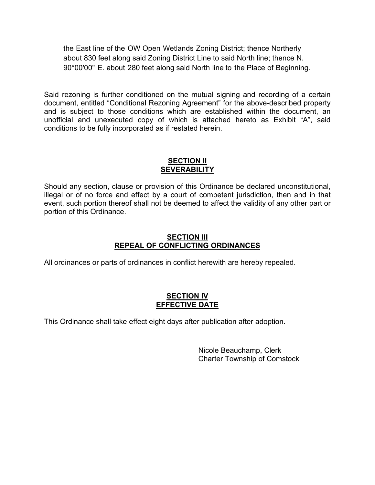the East line of the OW Open Wetlands Zoning District; thence Northerly about 830 feet along said Zoning District Line to said North line; thence N. 90°00'00" E. about 280 feet along said North line to the Place of Beginning.

Said rezoning is further conditioned on the mutual signing and recording of a certain document, entitled "Conditional Rezoning Agreement" for the above-described property and is subject to those conditions which are established within the document, an unofficial and unexecuted copy of which is attached hereto as Exhibit "A", said conditions to be fully incorporated as if restated herein.

### **SECTION II SEVERABILITY**

Should any section, clause or provision of this Ordinance be declared unconstitutional, illegal or of no force and effect by a court of competent jurisdiction, then and in that event, such portion thereof shall not be deemed to affect the validity of any other part or portion of this Ordinance.

## **SECTION III REPEAL OF CONFLICTING ORDINANCES**

All ordinances or parts of ordinances in conflict herewith are hereby repealed.

# **SECTION IV EFFECTIVE DATE**

This Ordinance shall take effect eight days after publication after adoption.

Nicole Beauchamp, Clerk Charter Township of Comstock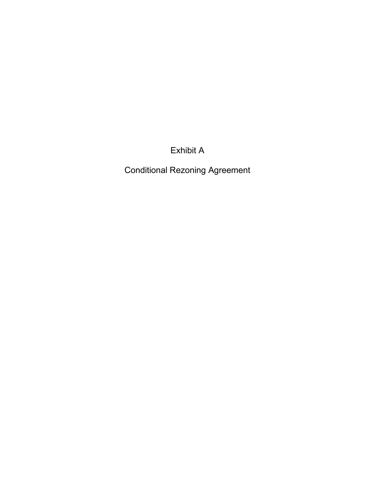Exhibit A

Conditional Rezoning Agreement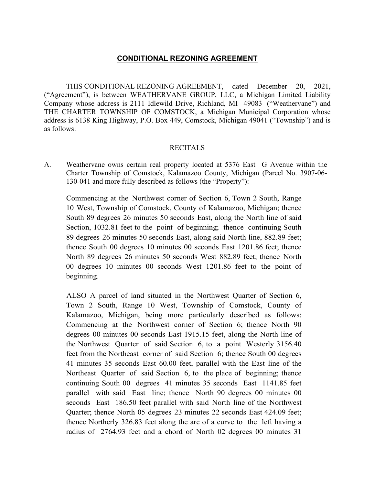## **CONDITIONAL REZONING AGREEMENT**

THIS CONDITIONAL REZONING AGREEMENT, dated December 20, 2021, ("Agreement"), is between WEATHERVANE GROUP, LLC, a Michigan Limited Liability Company whose address is 2111 Idlewild Drive, Richland, MI 49083 ("Weathervane") and THE CHARTER TOWNSHIP OF COMSTOCK, a Michigan Municipal Corporation whose address is 6138 King Highway, P.O. Box 449, Comstock, Michigan 49041 ("Township") and is as follows:

#### RECITALS

A. Weathervane owns certain real property located at 5376 East G Avenue within the Charter Township of Comstock, Kalamazoo County, Michigan (Parcel No. 3907-06- 130-041 and more fully described as follows (the "Property"):

Commencing at the Northwest corner of Section 6, Town 2 South, Range 10 West, Township of Comstock, County of Kalamazoo, Michigan; thence South 89 degrees 26 minutes 50 seconds East, along the North line of said Section, 1032.81 feet to the point of beginning; thence continuing South 89 degrees 26 minutes 50 seconds East, along said North line, 882.89 feet; thence South 00 degrees 10 minutes 00 seconds East 1201.86 feet; thence North 89 degrees 26 minutes 50 seconds West 882.89 feet; thence North 00 degrees 10 minutes 00 seconds West 1201.86 feet to the point of beginning.

ALSO A parcel of land situated in the Northwest Quarter of Section 6, Town 2 South, Range 10 West, Township of Comstock, County of Kalamazoo, Michigan, being more particularly described as follows: Commencing at the Northwest corner of Section 6; thence North 90 degrees 00 minutes 00 seconds East 1915.15 feet, along the North line of the Northwest Quarter of said Section 6, to a point Westerly 3156.40 feet from the Northeast corner of said Section 6; thence South 00 degrees 41 minutes 35 seconds East 60.00 feet, parallel with the East line of the Northeast Quarter of said Section 6, to the place of beginning; thence continuing South 00 degrees 41 minutes 35 seconds East 1141.85 feet parallel with said East line; thence North 90 degrees 00 minutes 00 seconds East 186.50 feet parallel with said North line of the Northwest Quarter; thence North 05 degrees 23 minutes 22 seconds East 424.09 feet; thence Northerly 326.83 feet along the arc of a curve to the left having a radius of 2764.93 feet and a chord of North 02 degrees 00 minutes 31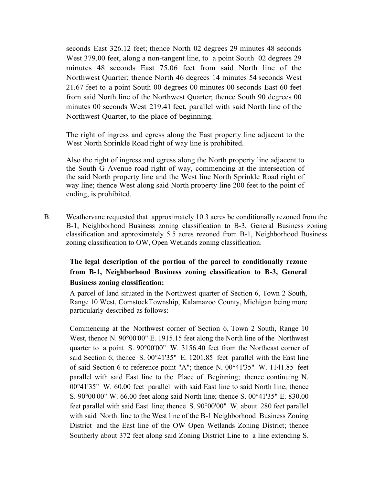seconds East 326.12 feet; thence North 02 degrees 29 minutes 48 seconds West 379.00 feet, along a non-tangent line, to a point South 02 degrees 29 minutes 48 seconds East 75.06 feet from said North line of the Northwest Quarter; thence North 46 degrees 14 minutes 54 seconds West 21.67 feet to a point South 00 degrees 00 minutes 00 seconds East 60 feet from said North line of the Northwest Quarter; thence South 90 degrees 00 minutes 00 seconds West 219.41 feet, parallel with said North line of the Northwest Quarter, to the place of beginning.

The right of ingress and egress along the East property line adjacent to the West North Sprinkle Road right of way line is prohibited.

Also the right of ingress and egress along the North property line adjacent to the South G Avenue road right of way, commencing at the intersection of the said North property line and the West line North Sprinkle Road right of way line; thence West along said North property line 200 feet to the point of ending, is prohibited.

B. Weathervane requested that approximately 10.3 acres be conditionally rezoned from the B-1, Neighborhood Business zoning classification to B-3, General Business zoning classification and approximately 5.5 acres rezoned from B-1, Neighborhood Business zoning classification to OW, Open Wetlands zoning classification.

# **The legal description of the portion of the parcel to conditionally rezone from B-1, Neighborhood Business zoning classification to B-3, General Business zoning classification:**

A parcel of land situated in the Northwest quarter of Section 6, Town 2 South, Range 10 West, ComstockTownship, Kalamazoo County, Michigan being more particularly described as follows:

Commencing at the Northwest corner of Section 6, Town 2 South, Range 10 West, thence N. 90°00'00" E. 1915.15 feet along the North line of the Northwest quarter to a point S. 90°00'00" W. 3156.40 feet from the Northeast corner of said Section 6; thence S. 00°41'35" E. 1201.85 feet parallel with the East line of said Section 6 to reference point "A"; thence N. 00°41'35" W. 1141.85 feet parallel with said East line to the Place of Beginning; thence continuing N. 00°41'35" W. 60.00 feet parallel with said East line to said North line; thence S. 90°00'00" W. 66.00 feet along said North line; thence S. 00°41'35" E. 830.00 feet parallel with said East line; thence S. 90°00'00" W. about 280 feet parallel with said North line to the West line of the B-1 Neighborhood Business Zoning District and the East line of the OW Open Wetlands Zoning District; thence Southerly about 372 feet along said Zoning District Line to a line extending S.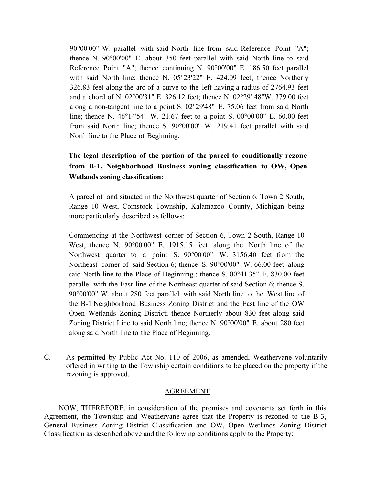90°00'00" W. parallel with said North line from said Reference Point "A"; thence N. 90°00'00" E. about 350 feet parallel with said North line to said Reference Point "A"; thence continuing N. 90°00'00" E. 186.50 feet parallel with said North line; thence N. 05°23'22" E. 424.09 feet; thence Northerly 326.83 feet along the arc of a curve to the left having a radius of 2764.93 feet and a chord of N. 02°00'31" E. 326.12 feet; thence N. 02°29' 48"W. 379.00 feet along a non-tangent line to a point S. 02°29'48" E. 75.06 feet from said North line; thence N. 46°14'54" W. 21.67 feet to a point S. 00°00'00" E. 60.00 feet from said North line; thence S. 90°00'00" W. 219.41 feet parallel with said North line to the Place of Beginning.

# **The legal description of the portion of the parcel to conditionally rezone from B-1, Neighborhood Business zoning classification to OW, Open Wetlands zoning classification:**

A parcel of land situated in the Northwest quarter of Section 6, Town 2 South, Range 10 West, Comstock Township, Kalamazoo County, Michigan being more particularly described as follows:

Commencing at the Northwest corner of Section 6, Town 2 South, Range 10 West, thence N. 90°00'00" E. 1915.15 feet along the North line of the Northwest quarter to a point S. 90°00'00" W. 3156.40 feet from the Northeast corner of said Section 6; thence S. 90°00'00" W. 66.00 feet along said North line to the Place of Beginning.; thence S. 00°41'35" E. 830.00 feet parallel with the East line of the Northeast quarter of said Section 6; thence S. 90°00'00" W. about 280 feet parallel with said North line to the West line of the B-1 Neighborhood Business Zoning District and the East line of the OW Open Wetlands Zoning District; thence Northerly about 830 feet along said Zoning District Line to said North line; thence N. 90°00'00" E. about 280 feet along said North line to the Place of Beginning.

C. As permitted by Public Act No. 110 of 2006, as amended, Weathervane voluntarily offered in writing to the Township certain conditions to be placed on the property if the rezoning is approved.

#### AGREEMENT

NOW, THEREFORE, in consideration of the promises and covenants set forth in this Agreement, the Township and Weathervane agree that the Property is rezoned to the B-3, General Business Zoning District Classification and OW, Open Wetlands Zoning District Classification as described above and the following conditions apply to the Property: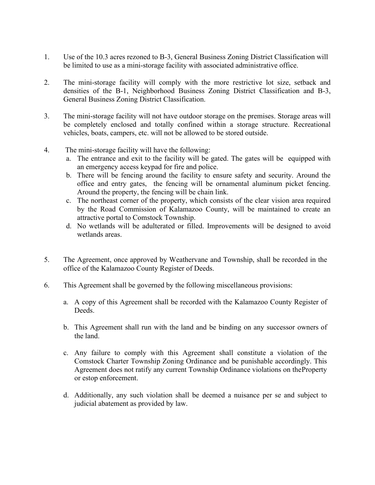- 1. Use of the 10.3 acres rezoned to B-3, General Business Zoning District Classification will be limited to use as a mini-storage facility with associated administrative office.
- 2. The mini-storage facility will comply with the more restrictive lot size, setback and densities of the B-1, Neighborhood Business Zoning District Classification and B-3, General Business Zoning District Classification.
- 3. The mini-storage facility will not have outdoor storage on the premises. Storage areas will be completely enclosed and totally confined within a storage structure. Recreational vehicles, boats, campers, etc. will not be allowed to be stored outside.
- 4. The mini-storage facility will have the following:
	- a. The entrance and exit to the facility will be gated. The gates will be equipped with an emergency access keypad for fire and police.
	- b. There will be fencing around the facility to ensure safety and security. Around the office and entry gates, the fencing will be ornamental aluminum picket fencing. Around the property, the fencing will be chain link.
	- c. The northeast corner of the property, which consists of the clear vision area required by the Road Commission of Kalamazoo County, will be maintained to create an attractive portal to Comstock Township.
	- d. No wetlands will be adulterated or filled. Improvements will be designed to avoid wetlands areas.
- 5. The Agreement, once approved by Weathervane and Township, shall be recorded in the office of the Kalamazoo County Register of Deeds.
- 6. This Agreement shall be governed by the following miscellaneous provisions:
	- a. A copy of this Agreement shall be recorded with the Kalamazoo County Register of Deeds.
	- b. This Agreement shall run with the land and be binding on any successor owners of the land.
	- c. Any failure to comply with this Agreement shall constitute a violation of the Comstock Charter Township Zoning Ordinance and be punishable accordingly. This Agreement does not ratify any current Township Ordinance violations on theProperty or estop enforcement.
	- d. Additionally, any such violation shall be deemed a nuisance per se and subject to judicial abatement as provided by law.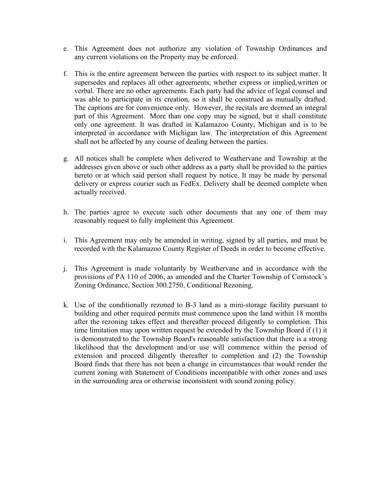- e. This Agreement does not authorize any violation of Township Ordinances and any current violations on the Property may be enforced.
- f. This is the entire agreement between the parties with respect to its subject matter. It supersedes and replaces all other agreements, whether express or implied,written or verbal. There are no other agreements. Each party had the advice of legal counsel and was able to participate in its creation, so it shall be construed as mutually drafted. The captions are for convenience only. However, the recitals are deemed an integral part of this Agreement. More than one copy may be signed, but it shall constitute only one agreement. It was drafted in Kalamazoo County, Michigan and is to be interpreted in accordance with Michigan law. The interpretation of this Agreement shall not be affected by any course of dealing between the parties.
- g. All notices shall be complete when delivered to Weathervane and Township at the addresses given above or such other address as a party shall be provided to the parties hereto or at which said person shall request by notice. It may be made by personal delivery or express courier such as FedEx. Delivery shall be deemed complete when actually received.
- h. The parties agree to execute such other documents that any one of them may reasonably request to fully implement this Agreement.
- i. This Agreement may only be amended in writing, signed by all parties, and must be recorded with the Kalamazoo County Register of Deeds in order to become effective.
- j. This Agreement is made voluntarily by Weathervane and in accordance with the provisions of PA 110 of 2006, as amended and the Charter Township of Comstock's Zoning Ordinance, Section 300.2750, Conditional Rezoning.
- k. Use of the conditionally rezoned to B-3 land as a mini-storage facility pursuant to building and other required permits must commence upon the land within 18 months after the rezoning takes effect and thereafter proceed diligently to completion. This time limitation may upon written request be extended by the Township Board if (1) it is demonstrated to the Township Board's reasonable satisfaction that there is a strong likelihood that the development and/or use will commence within the period of extension and proceed diligently thereafter to completion and (2) the Township Board finds that there has not been a change in circumstances that would render the current zoning with Statement of Conditions incompatible with other zones and uses in the surrounding area or otherwise inconsistent with sound zoning policy.